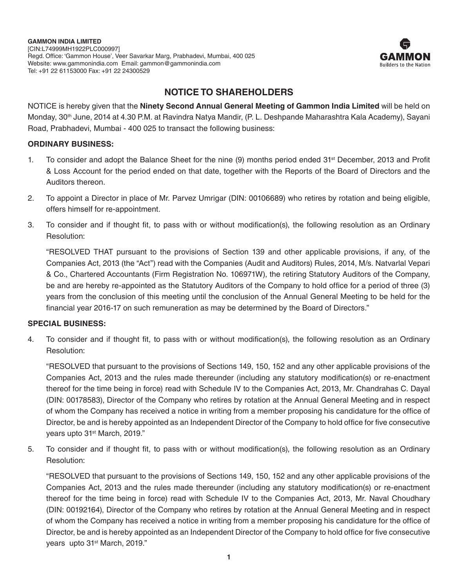

# **NOTICE TO SHAREHOLDERS**

NOTICE is hereby given that the **Ninety Second Annual General Meeting of Gammon India Limited** will be held on Monday, 30th June, 2014 at 4.30 P.M. at Ravindra Natya Mandir, (P. L. Deshpande Maharashtra Kala Academy), Sayani Road, Prabhadevi, Mumbai - 400 025 to transact the following business:

# **ORDINARY BUSINESS:**

- 1. To consider and adopt the Balance Sheet for the nine (9) months period ended 31<sup>st</sup> December, 2013 and Profit & Loss Account for the period ended on that date, together with the Reports of the Board of Directors and the Auditors thereon.
- 2. To appoint a Director in place of Mr. Parvez Umrigar (DIN: 00106689) who retires by rotation and being eligible, offers himself for re-appointment.
- 3. To consider and if thought fit, to pass with or without modification(s), the following resolution as an Ordinary Resolution:

"RESOLVED THAT pursuant to the provisions of Section 139 and other applicable provisions, if any, of the Companies Act, 2013 (the "Act") read with the Companies (Audit and Auditors) Rules, 2014, M/s. Natvarlal Vepari & Co., Chartered Accountants (Firm Registration No. 106971W), the retiring Statutory Auditors of the Company, be and are hereby re-appointed as the Statutory Auditors of the Company to hold office for a period of three (3) years from the conclusion of this meeting until the conclusion of the Annual General Meeting to be held for the financial year 2016-17 on such remuneration as may be determined by the Board of Directors."

# **SPECIAL BUSINESS:**

4. To consider and if thought fit, to pass with or without modification(s), the following resolution as an Ordinary Resolution:

"RESOLVED that pursuant to the provisions of Sections 149, 150, 152 and any other applicable provisions of the Companies Act, 2013 and the rules made thereunder (including any statutory modification(s) or re-enactment thereof for the time being in force) read with Schedule IV to the Companies Act, 2013, Mr. Chandrahas C. Dayal (DIN: 00178583), Director of the Company who retires by rotation at the Annual General Meeting and in respect of whom the Company has received a notice in writing from a member proposing his candidature for the office of Director, be and is hereby appointed as an Independent Director of the Company to hold office for five consecutive years upto 31st March, 2019."

5. To consider and if thought fit, to pass with or without modification(s), the following resolution as an Ordinary Resolution:

"RESOLVED that pursuant to the provisions of Sections 149, 150, 152 and any other applicable provisions of the Companies Act, 2013 and the rules made thereunder (including any statutory modification(s) or re-enactment thereof for the time being in force) read with Schedule IV to the Companies Act, 2013, Mr. Naval Choudhary (DIN: 00192164), Director of the Company who retires by rotation at the Annual General Meeting and in respect of whom the Company has received a notice in writing from a member proposing his candidature for the office of Director, be and is hereby appointed as an Independent Director of the Company to hold office for five consecutive years upto 31<sup>st</sup> March, 2019."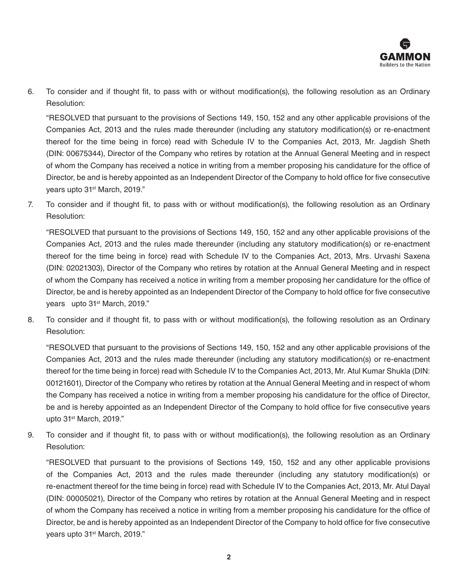

6. To consider and if thought fit, to pass with or without modification(s), the following resolution as an Ordinary Resolution:

"RESOLVED that pursuant to the provisions of Sections 149, 150, 152 and any other applicable provisions of the Companies Act, 2013 and the rules made thereunder (including any statutory modification(s) or re-enactment thereof for the time being in force) read with Schedule IV to the Companies Act, 2013, Mr. Jagdish Sheth (DIN: 00675344), Director of the Company who retires by rotation at the Annual General Meeting and in respect of whom the Company has received a notice in writing from a member proposing his candidature for the office of Director, be and is hereby appointed as an Independent Director of the Company to hold office for five consecutive years upto 31<sup>st</sup> March, 2019."

7. To consider and if thought fit, to pass with or without modification(s), the following resolution as an Ordinary Resolution:

"RESOLVED that pursuant to the provisions of Sections 149, 150, 152 and any other applicable provisions of the Companies Act, 2013 and the rules made thereunder (including any statutory modification(s) or re-enactment thereof for the time being in force) read with Schedule IV to the Companies Act, 2013, Mrs. Urvashi Saxena (DIN: 02021303), Director of the Company who retires by rotation at the Annual General Meeting and in respect of whom the Company has received a notice in writing from a member proposing her candidature for the office of Director, be and is hereby appointed as an Independent Director of the Company to hold office for five consecutive years upto 31<sup>st</sup> March, 2019."

8. To consider and if thought fit, to pass with or without modification(s), the following resolution as an Ordinary Resolution:

"RESOLVED that pursuant to the provisions of Sections 149, 150, 152 and any other applicable provisions of the Companies Act, 2013 and the rules made thereunder (including any statutory modification(s) or re-enactment thereof for the time being in force) read with Schedule IV to the Companies Act, 2013, Mr. Atul Kumar Shukla (DIN: 00121601), Director of the Company who retires by rotation at the Annual General Meeting and in respect of whom the Company has received a notice in writing from a member proposing his candidature for the office of Director, be and is hereby appointed as an Independent Director of the Company to hold office for five consecutive years upto 31st March, 2019."

9. To consider and if thought fit, to pass with or without modification(s), the following resolution as an Ordinary Resolution:

"RESOLVED that pursuant to the provisions of Sections 149, 150, 152 and any other applicable provisions of the Companies Act, 2013 and the rules made thereunder (including any statutory modification(s) or re-enactment thereof for the time being in force) read with Schedule IV to the Companies Act, 2013, Mr. Atul Dayal (DIN: 00005021), Director of the Company who retires by rotation at the Annual General Meeting and in respect of whom the Company has received a notice in writing from a member proposing his candidature for the office of Director, be and is hereby appointed as an Independent Director of the Company to hold office for five consecutive years upto 31<sup>st</sup> March, 2019."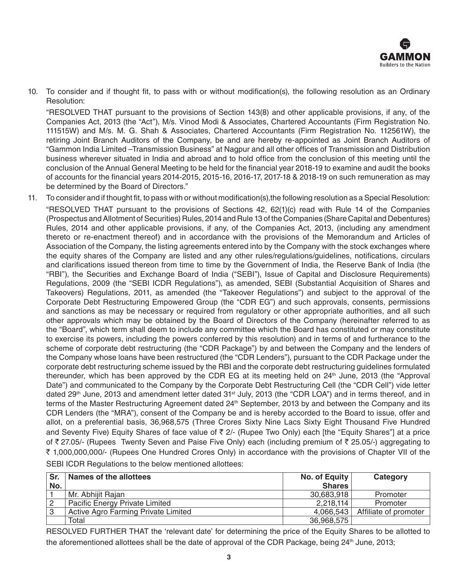

10. To consider and if thought fit, to pass with or without modification(s), the following resolution as an Ordinary Resolution:

"RESOLVED THAT pursuant to the provisions of Section 143(8) and other applicable provisions, if any, of the Companies Act, 2013 (the "Act"), M/s. Vinod Modi & Associates, Chartered Accountants (Firm Registration No. 111515W) and M/s. M. G. Shah & Associates, Chartered Accountants (Firm Registration No. 112561W), the retiring Joint Branch Auditors of the Company, be and are hereby re-appointed as Joint Branch Auditors of "Gammon India Limited –Transmission Business" at Nagpur and all other offices of Transmission and Distribution business wherever situated in India and abroad and to hold office from the conclusion of this meeting until the conclusion of the Annual General Meeting to be held for the financial year 2018-19 to examine and audit the books of accounts for the financial years 2014-2015, 2015-16, 2016-17, 2017-18 & 2018-19 on such remuneration as may be determined by the Board of Directors."

11. To consider and if thought fit, to pass with or without modification(s),the following resolution as a Special Resolution: "RESOLVED THAT pursuant to the provisions of Sections 42, 62(1)(c) read with Rule 14 of the Companies (Prospectus and Allotment of Securities) Rules, 2014 and Rule 13 of the Companies (Share Capital and Debentures) Rules, 2014 and other applicable provisions, if any, of the Companies Act, 2013, (including any amendment thereto or re-enactment thereof) and in accordance with the provisions of the Memorandum and Articles of Association of the Company, the listing agreements entered into by the Company with the stock exchanges where the equity shares of the Company are listed and any other rules/regulations/guidelines, notifications, circulars and clarifications issued thereon from time to time by the Government of India, the Reserve Bank of India (the "RBI"), the Securities and Exchange Board of India ("SEBI"), Issue of Capital and Disclosure Requirements) Regulations, 2009 (the "SEBI ICDR Regulations"), as amended, SEBI (Substantial Acquisition of Shares and Takeovers) Regulations, 2011, as amended (the "Takeover Regulations") and subject to the approval of the Corporate Debt Restructuring Empowered Group (the "CDR EG") and such approvals, consents, permissions and sanctions as may be necessary or required from regulatory or other appropriate authorities, and all such other approvals which may be obtained by the Board of Directors of the Company (hereinafter referred to as the "Board", which term shall deem to include any committee which the Board has constituted or may constitute to exercise its powers, including the powers conferred by this resolution) and in terms of and furtherance to the scheme of corporate debt restructuring (the "CDR Package") by and between the Company and the lenders of the Company whose loans have been restructured (the "CDR Lenders"), pursuant to the CDR Package under the corporate debt restructuring scheme issued by the RBI and the corporate debt restructuring guidelines formulated thereunder, which has been approved by the CDR EG at its meeting held on 24<sup>th</sup> June, 2013 (the "Approval Date") and communicated to the Company by the Corporate Debt Restructuring Cell (the "CDR Cell") vide letter dated 29<sup>th</sup> June, 2013 and amendment letter dated 31<sup>st</sup> July, 2013 (the "CDR LOA") and in terms thereof, and in terms of the Master Restructuring Agreement dated 24<sup>th</sup> September, 2013 by and between the Company and its CDR Lenders (the "MRA"), consent of the Company be and is hereby accorded to the Board to issue, offer and allot, on a preferential basis, 36,968,575 (Three Crores Sixty Nine Lacs Sixty Eight Thousand Five Hundred and Seventy Five) Equity Shares of face value of  $\bar{\tau}$  2/- (Rupee Two Only) each [the "Equity Shares"] at a price of  $\bar{\tau}$  27.05/- (Rupees Twenty Seven and Paise Five Only) each (including premium of  $\bar{\tau}$  25.05/-) aggregating to ` 1,000,000,000/- (Rupees One Hundred Crores Only) in accordance with the provisions of Chapter VII of the

| Sr. | Names of the allottees              | No. of Equity | Category              |
|-----|-------------------------------------|---------------|-----------------------|
| No. |                                     | <b>Shares</b> |                       |
|     | Mr. Abhijit Rajan                   | 30,683,918    | Promoter              |
|     | Pacific Energy Private Limited      | 2,218,114     | Promoter              |
| 3   | Active Agro Farming Private Limited | 4,066,543     | Affiliate of promoter |
|     | Total                               | 36,968,575    |                       |

SEBI ICDR Regulations to the below mentioned allottees:

RESOLVED FURTHER THAT the 'relevant date' for determining the price of the Equity Shares to be allotted to the aforementioned allottees shall be the date of approval of the CDR Package, being 24<sup>th</sup> June, 2013;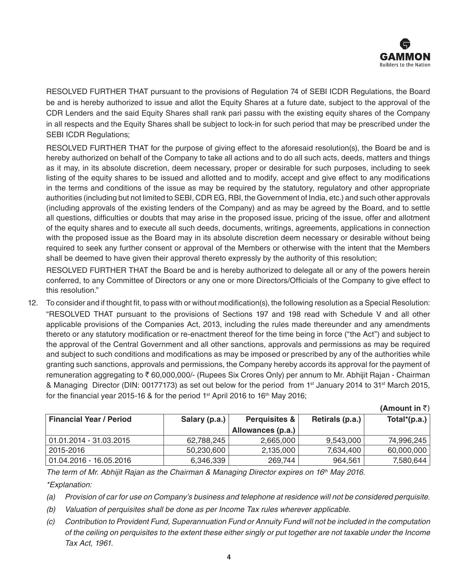

RESOLVED FURTHER THAT pursuant to the provisions of Regulation 74 of SEBI ICDR Regulations, the Board be and is hereby authorized to issue and allot the Equity Shares at a future date, subject to the approval of the CDR Lenders and the said Equity Shares shall rank pari passu with the existing equity shares of the Company in all respects and the Equity Shares shall be subject to lock-in for such period that may be prescribed under the SEBI ICDR Regulations;

RESOLVED FURTHER THAT for the purpose of giving effect to the aforesaid resolution(s), the Board be and is hereby authorized on behalf of the Company to take all actions and to do all such acts, deeds, matters and things as it may, in its absolute discretion, deem necessary, proper or desirable for such purposes, including to seek listing of the equity shares to be issued and allotted and to modify, accept and give effect to any modifications in the terms and conditions of the issue as may be required by the statutory, regulatory and other appropriate authorities (including but not limited to SEBI, CDR EG, RBI, the Government of India, etc.) and such other approvals (including approvals of the existing lenders of the Company) and as may be agreed by the Board, and to settle all questions, difficulties or doubts that may arise in the proposed issue, pricing of the issue, offer and allotment of the equity shares and to execute all such deeds, documents, writings, agreements, applications in connection with the proposed issue as the Board may in its absolute discretion deem necessary or desirable without being required to seek any further consent or approval of the Members or otherwise with the intent that the Members shall be deemed to have given their approval thereto expressly by the authority of this resolution;

RESOLVED FURTHER THAT the Board be and is hereby authorized to delegate all or any of the powers herein conferred, to any Committee of Directors or any one or more Directors/Officials of the Company to give effect to this resolution."

12. To consider and if thought fit, to pass with or without modification(s), the following resolution as a Special Resolution: "RESOLVED THAT pursuant to the provisions of Sections 197 and 198 read with Schedule V and all other applicable provisions of the Companies Act, 2013, including the rules made thereunder and any amendments thereto or any statutory modification or re-enactment thereof for the time being in force ("the Act") and subject to the approval of the Central Government and all other sanctions, approvals and permissions as may be required and subject to such conditions and modifications as may be imposed or prescribed by any of the authorities while granting such sanctions, approvals and permissions, the Company hereby accords its approval for the payment of remuneration aggregating to ₹60,000,000/- (Rupees Six Crores Only) per annum to Mr. Abhijit Rajan - Chairman & Managing Director (DIN: 00177173) as set out below for the period from 1<sup>st</sup> January 2014 to 31<sup>st</sup> March 2015, for the financial year 2015-16 & for the period  $1<sup>st</sup>$  April 2016 to  $16<sup>th</sup>$  May 2016;

| <b>Financial Year / Period</b> | Salary (p.a.) | <b>Perquisites &amp;</b> | Retirals (p.a.) | Total*(p.a.) |
|--------------------------------|---------------|--------------------------|-----------------|--------------|
|                                |               | Allowances (p.a.)        |                 |              |
| 01.01.2014 - 31.03.2015        | 62.788.245    | 2,665,000                | 9.543.000       | 74,996,245   |
| 2015-2016                      | 50,230,600    | 2,135,000                | 7.634.400       | 60,000,000   |
| $01.04.2016 - 16.05.2016$      | 6,346,339     | 269.744                  | 964.561         | 7,580,644    |

**(Amount in**  $\bar{z}$ **)** 

*The term of Mr. Abhijit Rajan as the Chairman & Managing Director expires on 16th May 2016.*

*\*Explanation:*

*(a) Provision of car for use on Company's business and telephone at residence will not be considered perquisite.*

*(b) Valuation of perquisites shall be done as per Income Tax rules wherever applicable.*

*(c) Contribution to Provident Fund, Superannuation Fund or Annuity Fund will not be included in the computation of the ceiling on perquisites to the extent these either singly or put together are not taxable under the Income Tax Act, 1961.*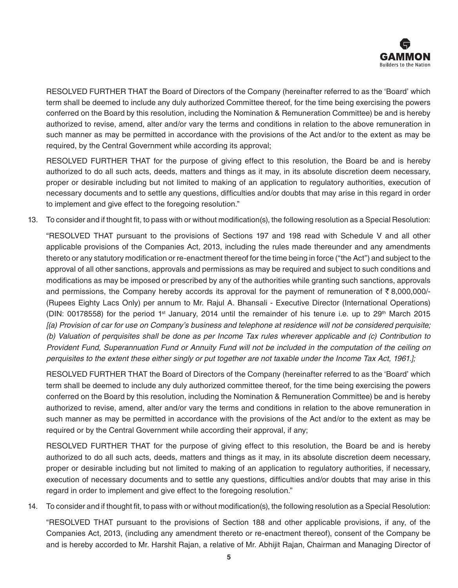

RESOLVED FURTHER THAT the Board of Directors of the Company (hereinafter referred to as the 'Board' which term shall be deemed to include any duly authorized Committee thereof, for the time being exercising the powers conferred on the Board by this resolution, including the Nomination & Remuneration Committee) be and is hereby authorized to revise, amend, alter and/or vary the terms and conditions in relation to the above remuneration in such manner as may be permitted in accordance with the provisions of the Act and/or to the extent as may be required, by the Central Government while according its approval;

RESOLVED FURTHER THAT for the purpose of giving effect to this resolution, the Board be and is hereby authorized to do all such acts, deeds, matters and things as it may, in its absolute discretion deem necessary, proper or desirable including but not limited to making of an application to regulatory authorities, execution of necessary documents and to settle any questions, difficulties and/or doubts that may arise in this regard in order to implement and give effect to the foregoing resolution."

13. To consider and if thought fit, to pass with or without modification(s), the following resolution as a Special Resolution:

"RESOLVED THAT pursuant to the provisions of Sections 197 and 198 read with Schedule V and all other applicable provisions of the Companies Act, 2013, including the rules made thereunder and any amendments thereto or any statutory modification or re-enactment thereof for the time being in force ("the Act") and subject to the approval of all other sanctions, approvals and permissions as may be required and subject to such conditions and modifications as may be imposed or prescribed by any of the authorities while granting such sanctions, approvals and permissions, the Company hereby accords its approval for the payment of remuneration of  $\bar{\tau}$  8,000,000/-(Rupees Eighty Lacs Only) per annum to Mr. Rajul A. Bhansali - Executive Director (International Operations) (DIN: 00178558) for the period 1st January, 2014 until the remainder of his tenure i.e. up to 29th March 2015 *[(a) Provision of car for use on Company's business and telephone at residence will not be considered perquisite; (b) Valuation of perquisites shall be done as per Income Tax rules wherever applicable and (c) Contribution to Provident Fund, Superannuation Fund or Annuity Fund will not be included in the computation of the ceiling on perquisites to the extent these either singly or put together are not taxable under the Income Tax Act, 1961.];*

RESOLVED FURTHER THAT the Board of Directors of the Company (hereinafter referred to as the 'Board' which term shall be deemed to include any duly authorized committee thereof, for the time being exercising the powers conferred on the Board by this resolution, including the Nomination & Remuneration Committee) be and is hereby authorized to revise, amend, alter and/or vary the terms and conditions in relation to the above remuneration in such manner as may be permitted in accordance with the provisions of the Act and/or to the extent as may be required or by the Central Government while according their approval, if any;

RESOLVED FURTHER THAT for the purpose of giving effect to this resolution, the Board be and is hereby authorized to do all such acts, deeds, matters and things as it may, in its absolute discretion deem necessary, proper or desirable including but not limited to making of an application to regulatory authorities, if necessary, execution of necessary documents and to settle any questions, difficulties and/or doubts that may arise in this regard in order to implement and give effect to the foregoing resolution."

14. To consider and if thought fit, to pass with or without modification(s), the following resolution as a Special Resolution:

"RESOLVED THAT pursuant to the provisions of Section 188 and other applicable provisions, if any, of the Companies Act, 2013, (including any amendment thereto or re-enactment thereof), consent of the Company be and is hereby accorded to Mr. Harshit Rajan, a relative of Mr. Abhijit Rajan, Chairman and Managing Director of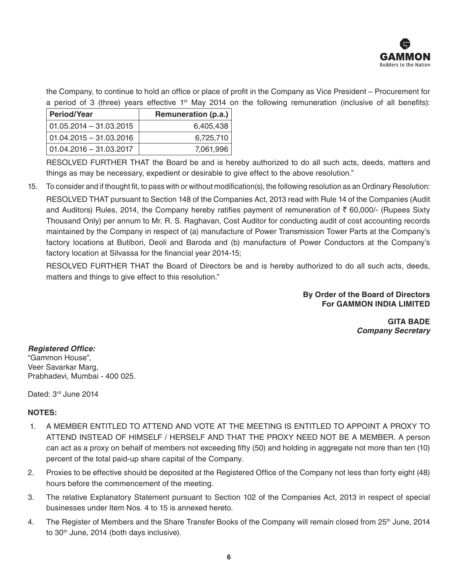

the Company, to continue to hold an office or place of profit in the Company as Vice President – Procurement for a period of 3 (three) years effective 1<sup>st</sup> May 2014 on the following remuneration (inclusive of all benefits):

| <b>Period/Year</b>         | Remuneration (p.a.) |
|----------------------------|---------------------|
| $01.05.2014 - 31.03.2015$  | 6,405,438           |
| $01.04.2015 - 31.03.2016$  | 6,725,710           |
| $ 01.04.2016 - 31.03.2017$ | 7,061,996           |

RESOLVED FURTHER THAT the Board be and is hereby authorized to do all such acts, deeds, matters and things as may be necessary, expedient or desirable to give effect to the above resolution."

15. To consider and if thought fit, to pass with or without modification(s), the following resolution as an Ordinary Resolution:

RESOLVED THAT pursuant to Section 148 of the Companies Act, 2013 read with Rule 14 of the Companies (Audit and Auditors) Rules, 2014, the Company hereby ratifies payment of remuneration of  $\bar{\tau}$  60,000/- (Rupees Sixty Thousand Only) per annum to Mr. R. S. Raghavan, Cost Auditor for conducting audit of cost accounting records maintained by the Company in respect of (a) manufacture of Power Transmission Tower Parts at the Company's factory locations at Butibori, Deoli and Baroda and (b) manufacture of Power Conductors at the Company's factory location at Silvassa for the financial year 2014-15;

RESOLVED FURTHER THAT the Board of Directors be and is hereby authorized to do all such acts, deeds, matters and things to give effect to this resolution."

> **By Order of the Board of Directors For GAMMON INDIA LIMITED**

> > **GITA BADE** *Company Secretary*

# **Registered Office:**

"Gammon House", Veer Savarkar Marg, Prabhadevi, Mumbai - 400 025.

Dated: 3rd June 2014

# **NOTES:**

- 1. A MEMBER ENTITLED TO ATTEND AND VOTE AT THE MEETING IS ENTITLED TO APPOINT A PROXY TO ATTEND INSTEAD OF HIMSELF / HERSELF AND THAT THE PROXY NEED NOT BE A MEMBER. A person can act as a proxy on behalf of members not exceeding fifty (50) and holding in aggregate not more than ten (10) percent of the total paid-up share capital of the Company.
- 2. Proxies to be effective should be deposited at the Registered Office of the Company not less than forty eight (48) hours before the commencement of the meeting.
- 3. The relative Explanatory Statement pursuant to Section 102 of the Companies Act, 2013 in respect of special businesses under Item Nos. 4 to 15 is annexed hereto.
- 4. The Register of Members and the Share Transfer Books of the Company will remain closed from 25<sup>th</sup> June, 2014 to 30<sup>th</sup> June, 2014 (both days inclusive).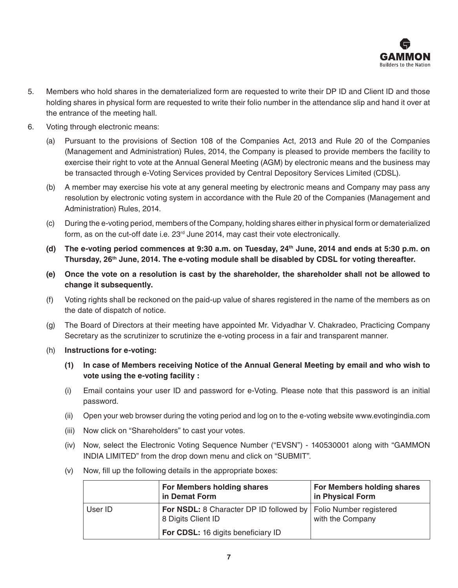

- 5. Members who hold shares in the dematerialized form are requested to write their DP ID and Client ID and those holding shares in physical form are requested to write their folio number in the attendance slip and hand it over at the entrance of the meeting hall.
- 6. Voting through electronic means:
	- (a) Pursuant to the provisions of Section 108 of the Companies Act, 2013 and Rule 20 of the Companies (Management and Administration) Rules, 2014, the Company is pleased to provide members the facility to exercise their right to vote at the Annual General Meeting (AGM) by electronic means and the business may be transacted through e-Voting Services provided by Central Depository Services Limited (CDSL).
	- (b) A member may exercise his vote at any general meeting by electronic means and Company may pass any resolution by electronic voting system in accordance with the Rule 20 of the Companies (Management and Administration) Rules, 2014.
	- (c) During the e-voting period, members of the Company, holding shares either in physical form or dematerialized form, as on the cut-off date i.e. 23rd June 2014, may cast their vote electronically.
	- **(d) The e-voting period commences at 9:30 a.m. on Tuesday, 24th June, 2014 and ends at 5:30 p.m. on Thursday, 26th June, 2014. The e-voting module shall be disabled by CDSL for voting thereafter.**
	- **(e) Once the vote on a resolution is cast by the shareholder, the shareholder shall not be allowed to change it subsequently.**
	- (f) Voting rights shall be reckoned on the paid-up value of shares registered in the name of the members as on the date of dispatch of notice.
	- (g) The Board of Directors at their meeting have appointed Mr. Vidyadhar V. Chakradeo, Practicing Company Secretary as the scrutinizer to scrutinize the e-voting process in a fair and transparent manner.
	- (h) **Instructions for e-voting:**
		- **(1) In case of Members receiving Notice of the Annual General Meeting by email and who wish to vote using the e-voting facility :**
		- (i) Email contains your user ID and password for e-Voting. Please note that this password is an initial password.
		- (ii) Open your web browser during the voting period and log on to the e-voting website www.evotingindia.com
		- (iii) Now click on "Shareholders" to cast your votes.
		- (iv) Now, select the Electronic Voting Sequence Number ("EVSN") 140530001 along with "GAMMON INDIA LIMITED" from the drop down menu and click on "SUBMIT".
		- (v) Now, fill up the following details in the appropriate boxes:

|         | For Members holding shares<br>in Demat Form                                             | For Members holding shares<br>in Physical Form |
|---------|-----------------------------------------------------------------------------------------|------------------------------------------------|
| User ID | For NSDL: 8 Character DP ID followed by   Folio Number registered<br>8 Digits Client ID | with the Company                               |
|         | For CDSL: 16 digits beneficiary ID                                                      |                                                |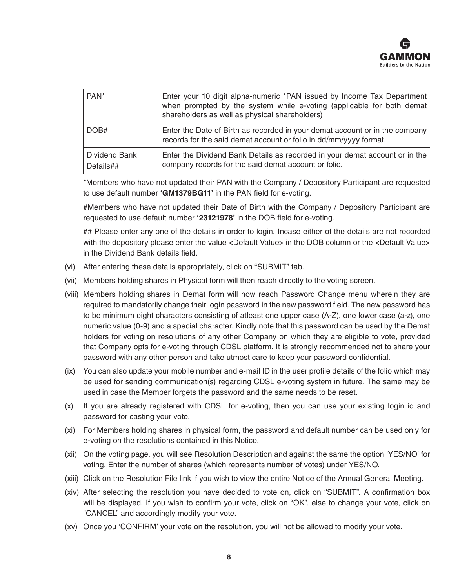

| PAN <sup>*</sup>           | Enter your 10 digit alpha-numeric *PAN issued by Income Tax Department<br>when prompted by the system while e-voting (applicable for both demat<br>shareholders as well as physical shareholders) |
|----------------------------|---------------------------------------------------------------------------------------------------------------------------------------------------------------------------------------------------|
| DOB#                       | Enter the Date of Birth as recorded in your demat account or in the company<br>records for the said demat account or folio in dd/mm/yyyy format.                                                  |
| Dividend Bank<br>Details## | Enter the Dividend Bank Details as recorded in your demat account or in the<br>company records for the said demat account or folio.                                                               |

 \*Members who have not updated their PAN with the Company / Depository Participant are requested to use default number **'GM1379BG11'** in the PAN field for e-voting.

 #Members who have not updated their Date of Birth with the Company / Depository Participant are requested to use default number **'23121978'** in the DOB field for e-voting.

 ## Please enter any one of the details in order to login. Incase either of the details are not recorded with the depository please enter the value <Default Value> in the DOB column or the <Default Value> in the Dividend Bank details field.

- (vi) After entering these details appropriately, click on "SUBMIT" tab.
- (vii) Members holding shares in Physical form will then reach directly to the voting screen.
- (viii) Members holding shares in Demat form will now reach Password Change menu wherein they are required to mandatorily change their login password in the new password field. The new password has to be minimum eight characters consisting of atleast one upper case (A-Z), one lower case (a-z), one numeric value (0-9) and a special character. Kindly note that this password can be used by the Demat holders for voting on resolutions of any other Company on which they are eligible to vote, provided that Company opts for e-voting through CDSL platform. It is strongly recommended not to share your password with any other person and take utmost care to keep your password confidential.
- (ix) You can also update your mobile number and e-mail ID in the user profile details of the folio which may be used for sending communication(s) regarding CDSL e-voting system in future. The same may be used in case the Member forgets the password and the same needs to be reset.
- (x) If you are already registered with CDSL for e-voting, then you can use your existing login id and password for casting your vote.
- (xi) For Members holding shares in physical form, the password and default number can be used only for e-voting on the resolutions contained in this Notice.
- (xii) On the voting page, you will see Resolution Description and against the same the option 'YES/NO' for voting. Enter the number of shares (which represents number of votes) under YES/NO.
- (xiii) Click on the Resolution File link if you wish to view the entire Notice of the Annual General Meeting.
- (xiv) After selecting the resolution you have decided to vote on, click on "SUBMIT". A confirmation box will be displayed. If you wish to confirm your vote, click on "OK", else to change your vote, click on "CANCEL" and accordingly modify your vote.
- (xv) Once you 'CONFIRM' your vote on the resolution, you will not be allowed to modify your vote.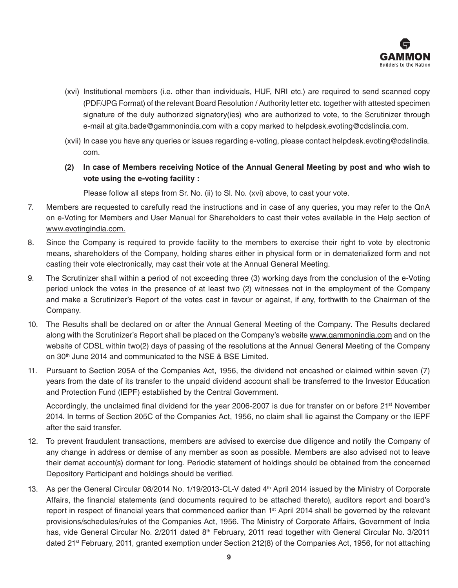

- (xvi) Institutional members (i.e. other than individuals, HUF, NRI etc.) are required to send scanned copy (PDF/JPG Format) of the relevant Board Resolution / Authority letter etc. together with attested specimen signature of the duly authorized signatory(ies) who are authorized to vote, to the Scrutinizer through e-mail at gita.bade@gammonindia.com with a copy marked to helpdesk.evoting@cdslindia.com.
- (xvii) In case you have any queries or issues regarding e-voting, please contact helpdesk.evoting@cdslindia. com.
- **(2) In case of Members receiving Notice of the Annual General Meeting by post and who wish to vote using the e-voting facility :**

Please follow all steps from Sr. No. (ii) to Sl. No. (xvi) above, to cast your vote.

- 7. Members are requested to carefully read the instructions and in case of any queries, you may refer to the QnA on e-Voting for Members and User Manual for Shareholders to cast their votes available in the Help section of www.evotingindia.com.
- 8. Since the Company is required to provide facility to the members to exercise their right to vote by electronic means, shareholders of the Company, holding shares either in physical form or in dematerialized form and not casting their vote electronically, may cast their vote at the Annual General Meeting.
- 9. The Scrutinizer shall within a period of not exceeding three (3) working days from the conclusion of the e-Voting period unlock the votes in the presence of at least two (2) witnesses not in the employment of the Company and make a Scrutinizer's Report of the votes cast in favour or against, if any, forthwith to the Chairman of the Company.
- 10. The Results shall be declared on or after the Annual General Meeting of the Company. The Results declared along with the Scrutinizer's Report shall be placed on the Company's website www.gammonindia.com and on the website of CDSL within two(2) days of passing of the resolutions at the Annual General Meeting of the Company on 30<sup>th</sup> June 2014 and communicated to the NSE & BSE Limited.
- 11. Pursuant to Section 205A of the Companies Act, 1956, the dividend not encashed or claimed within seven (7) years from the date of its transfer to the unpaid dividend account shall be transferred to the Investor Education and Protection Fund (IEPF) established by the Central Government.

Accordingly, the unclaimed final dividend for the year 2006-2007 is due for transfer on or before 21<sup>st</sup> November 2014. In terms of Section 205C of the Companies Act, 1956, no claim shall lie against the Company or the IEPF after the said transfer.

- 12. To prevent fraudulent transactions, members are advised to exercise due diligence and notify the Company of any change in address or demise of any member as soon as possible. Members are also advised not to leave their demat account(s) dormant for long. Periodic statement of holdings should be obtained from the concerned Depository Participant and holdings should be verified.
- 13. As per the General Circular 08/2014 No. 1/19/2013-CL-V dated 4th April 2014 issued by the Ministry of Corporate Affairs, the financial statements (and documents required to be attached thereto), auditors report and board's report in respect of financial years that commenced earlier than 1<sup>st</sup> April 2014 shall be governed by the relevant provisions/schedules/rules of the Companies Act, 1956. The Ministry of Corporate Affairs, Government of India has, vide General Circular No. 2/2011 dated 8<sup>th</sup> February, 2011 read together with General Circular No. 3/2011 dated 21st February, 2011, granted exemption under Section 212(8) of the Companies Act, 1956, for not attaching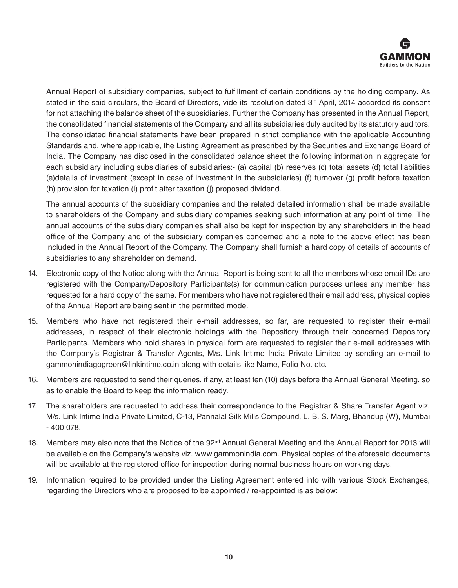

Annual Report of subsidiary companies, subject to fulfillment of certain conditions by the holding company. As stated in the said circulars, the Board of Directors, vide its resolution dated 3<sup>rd</sup> April, 2014 accorded its consent for not attaching the balance sheet of the subsidiaries. Further the Company has presented in the Annual Report, the consolidated financial statements of the Company and all its subsidiaries duly audited by its statutory auditors. The consolidated financial statements have been prepared in strict compliance with the applicable Accounting Standards and, where applicable, the Listing Agreement as prescribed by the Securities and Exchange Board of India. The Company has disclosed in the consolidated balance sheet the following information in aggregate for each subsidiary including subsidiaries of subsidiaries:- (a) capital (b) reserves (c) total assets (d) total liabilities (e)details of investment (except in case of investment in the subsidiaries) (f) turnover (g) profit before taxation (h)  provision for taxation (i) profit after taxation (j) proposed dividend.

The annual accounts of the subsidiary companies and the related detailed information shall be made available to shareholders of the Company and subsidiary companies seeking such information at any point of time. The annual accounts of the subsidiary companies shall also be kept for inspection by any shareholders in the head office of the Company and of the subsidiary companies concerned and a note to the above effect has been included in the Annual Report of the Company. The Company shall furnish a hard copy of details of accounts of subsidiaries to any shareholder on demand.

- 14. Electronic copy of the Notice along with the Annual Report is being sent to all the members whose email IDs are registered with the Company/Depository Participants(s) for communication purposes unless any member has requested for a hard copy of the same. For members who have not registered their email address, physical copies of the Annual Report are being sent in the permitted mode.
- 15. Members who have not registered their e-mail addresses, so far, are requested to register their e-mail addresses, in respect of their electronic holdings with the Depository through their concerned Depository Participants. Members who hold shares in physical form are requested to register their e-mail addresses with the Company's Registrar & Transfer Agents, M/s. Link Intime India Private Limited by sending an e-mail to gammonindiagogreen@linkintime.co.in along with details like Name, Folio No. etc.
- 16. Members are requested to send their queries, if any, at least ten (10) days before the Annual General Meeting, so as to enable the Board to keep the information ready.
- 17. The shareholders are requested to address their correspondence to the Registrar & Share Transfer Agent viz. M/s. Link Intime India Private Limited, C-13, Pannalal Silk Mills Compound, L. B. S. Marg, Bhandup (W), Mumbai - 400 078.
- 18. Members may also note that the Notice of the 92<sup>nd</sup> Annual General Meeting and the Annual Report for 2013 will be available on the Company's website viz. www.gammonindia.com. Physical copies of the aforesaid documents will be available at the registered office for inspection during normal business hours on working days.
- 19. Information required to be provided under the Listing Agreement entered into with various Stock Exchanges, regarding the Directors who are proposed to be appointed / re-appointed is as below: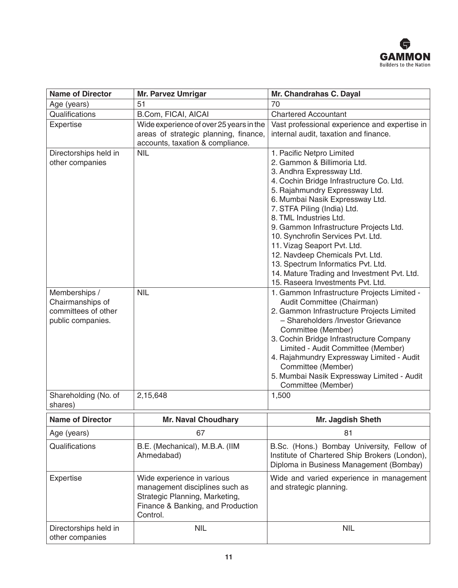

| <b>Name of Director</b>                                                                               | <b>Mr. Parvez Umrigar</b>                                                                                                                       | Mr. Chandrahas C. Dayal                                                                                                                                                                                                                                                                                                                                                                                                                                                                               |
|-------------------------------------------------------------------------------------------------------|-------------------------------------------------------------------------------------------------------------------------------------------------|-------------------------------------------------------------------------------------------------------------------------------------------------------------------------------------------------------------------------------------------------------------------------------------------------------------------------------------------------------------------------------------------------------------------------------------------------------------------------------------------------------|
| Age (years)                                                                                           | 51                                                                                                                                              | 70                                                                                                                                                                                                                                                                                                                                                                                                                                                                                                    |
| Qualifications                                                                                        | B.Com, FICAI, AICAI                                                                                                                             | <b>Chartered Accountant</b>                                                                                                                                                                                                                                                                                                                                                                                                                                                                           |
| Expertise                                                                                             | Wide experience of over 25 years in the<br>areas of strategic planning, finance,<br>accounts, taxation & compliance.                            | Vast professional experience and expertise in<br>internal audit, taxation and finance.                                                                                                                                                                                                                                                                                                                                                                                                                |
| Directorships held in<br>other companies                                                              | <b>NIL</b>                                                                                                                                      | 1. Pacific Netpro Limited<br>2. Gammon & Billimoria Ltd.<br>3. Andhra Expressway Ltd.<br>4. Cochin Bridge Infrastructure Co. Ltd.<br>5. Rajahmundry Expressway Ltd.<br>6. Mumbai Nasik Expressway Ltd.<br>7. STFA Piling (India) Ltd.<br>8. TML Industries Ltd.<br>9. Gammon Infrastructure Projects Ltd.<br>10. Synchrofin Services Pvt. Ltd.<br>11. Vizag Seaport Pvt. Ltd.<br>12. Navdeep Chemicals Pvt. Ltd.<br>13. Spectrum Informatics Pvt. Ltd.<br>14. Mature Trading and Investment Pvt. Ltd. |
| Memberships /<br>Chairmanships of<br>committees of other<br>public companies.<br>Shareholding (No. of | <b>NIL</b><br>2,15,648                                                                                                                          | 15. Raseera Investments Pvt. Ltd.<br>1. Gammon Infrastructure Projects Limited -<br>Audit Committee (Chairman)<br>2. Gammon Infrastructure Projects Limited<br>- Shareholders /Investor Grievance<br>Committee (Member)<br>3. Cochin Bridge Infrastructure Company<br>Limited - Audit Committee (Member)<br>4. Rajahmundry Expressway Limited - Audit<br>Committee (Member)<br>5. Mumbai Nasik Expressway Limited - Audit<br>Committee (Member)<br>1,500                                              |
| shares)                                                                                               |                                                                                                                                                 |                                                                                                                                                                                                                                                                                                                                                                                                                                                                                                       |
| <b>Name of Director</b>                                                                               | <b>Mr. Naval Choudhary</b>                                                                                                                      | Mr. Jagdish Sheth                                                                                                                                                                                                                                                                                                                                                                                                                                                                                     |
| Age (years)                                                                                           | 67                                                                                                                                              | 81                                                                                                                                                                                                                                                                                                                                                                                                                                                                                                    |
| Qualifications                                                                                        | B.E. (Mechanical), M.B.A. (IIM<br>Ahmedabad)                                                                                                    | B.Sc. (Hons.) Bombay University, Fellow of<br>Institute of Chartered Ship Brokers (London),<br>Diploma in Business Management (Bombay)                                                                                                                                                                                                                                                                                                                                                                |
| Expertise                                                                                             | Wide experience in various<br>management disciplines such as<br>Strategic Planning, Marketing,<br>Finance & Banking, and Production<br>Control. | Wide and varied experience in management<br>and strategic planning.                                                                                                                                                                                                                                                                                                                                                                                                                                   |
| Directorships held in<br>other companies                                                              | <b>NIL</b>                                                                                                                                      | <b>NIL</b>                                                                                                                                                                                                                                                                                                                                                                                                                                                                                            |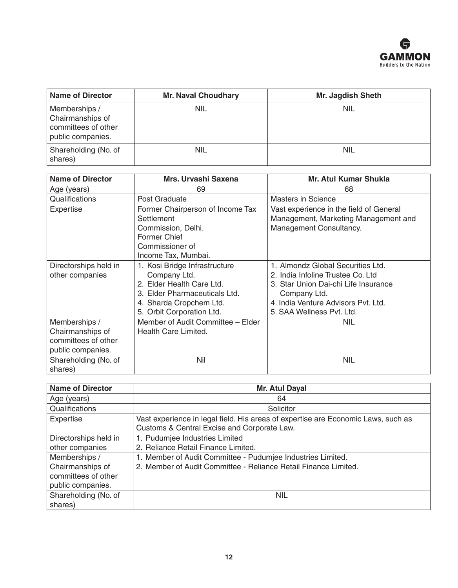

| <b>Name of Director</b>                                                       | <b>Mr. Naval Choudhary</b> | Mr. Jagdish Sheth |
|-------------------------------------------------------------------------------|----------------------------|-------------------|
| Memberships /<br>Chairmanships of<br>committees of other<br>public companies. | <b>NIL</b>                 | <b>NIL</b>        |
| Shareholding (No. of<br>shares)                                               | <b>NIL</b>                 | <b>NIL</b>        |

| <b>Name of Director</b>         | Mrs. Urvashi Saxena               | <b>Mr. Atul Kumar Shukla</b>            |
|---------------------------------|-----------------------------------|-----------------------------------------|
| Age (years)                     | 69                                | 68                                      |
| Qualifications                  | Post Graduate                     | <b>Masters in Science</b>               |
| Expertise                       | Former Chairperson of Income Tax  | Vast experience in the field of General |
|                                 | Settlement                        | Management, Marketing Management and    |
|                                 | Commission, Delhi.                | Management Consultancy.                 |
|                                 | Former Chief                      |                                         |
|                                 | Commissioner of                   |                                         |
|                                 | Income Tax, Mumbai.               |                                         |
| Directorships held in           | 1. Kosi Bridge Infrastructure     | 1. Almondz Global Securities Ltd.       |
| other companies                 | Company Ltd.                      | 2. India Infoline Trustee Co. Ltd       |
|                                 | 2. Elder Health Care Ltd.         | 3. Star Union Dai-chi Life Insurance    |
|                                 | 3. Elder Pharmaceuticals Ltd.     | Company Ltd.                            |
|                                 | 4. Sharda Cropchem Ltd.           | 4. India Venture Advisors Pvt. Ltd.     |
|                                 | 5. Orbit Corporation Ltd.         | 5. SAA Wellness Pvt. Ltd.               |
| Memberships /                   | Member of Audit Committee - Elder | <b>NIL</b>                              |
| Chairmanships of                | Health Care Limited.              |                                         |
| committees of other             |                                   |                                         |
| public companies.               |                                   |                                         |
| Shareholding (No. of<br>shares) | Nil                               | <b>NIL</b>                              |

| <b>Name of Director</b>                                                       | Mr. Atul Dayal                                                                                                                   |
|-------------------------------------------------------------------------------|----------------------------------------------------------------------------------------------------------------------------------|
| Age (years)                                                                   | 64                                                                                                                               |
| Qualifications                                                                | Solicitor                                                                                                                        |
| Expertise                                                                     | Vast experience in legal field. His areas of expertise are Economic Laws, such as<br>Customs & Central Excise and Corporate Law. |
| Directorships held in<br>other companies                                      | 1. Pudumjee Industries Limited<br>2. Reliance Retail Finance Limited.                                                            |
| Memberships /<br>Chairmanships of<br>committees of other<br>public companies. | 1. Member of Audit Committee - Pudumjee Industries Limited.<br>2. Member of Audit Committee - Reliance Retail Finance Limited.   |
| Shareholding (No. of<br>shares)                                               | <b>NIL</b>                                                                                                                       |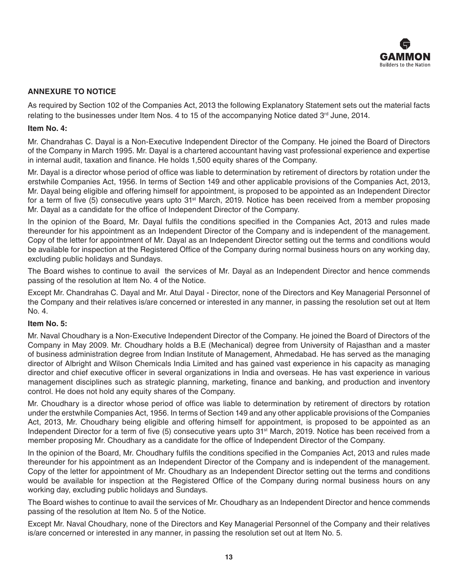

# **ANNEXURE TO NOTICE**

As required by Section 102 of the Companies Act, 2013 the following Explanatory Statement sets out the material facts relating to the businesses under Item Nos. 4 to 15 of the accompanying Notice dated 3<sup>rd</sup> June, 2014.

#### **Item No. 4:**

Mr. Chandrahas C. Dayal is a Non-Executive Independent Director of the Company. He joined the Board of Directors of the Company in March 1995. Mr. Dayal is a chartered accountant having vast professional experience and expertise in internal audit, taxation and finance. He holds 1,500 equity shares of the Company.

Mr. Dayal is a director whose period of office was liable to determination by retirement of directors by rotation under the erstwhile Companies Act, 1956. In terms of Section 149 and other applicable provisions of the Companies Act, 2013, Mr. Dayal being eligible and offering himself for appointment, is proposed to be appointed as an Independent Director for a term of five (5) consecutive years upto 31<sup>st</sup> March, 2019. Notice has been received from a member proposing Mr. Dayal as a candidate for the office of Independent Director of the Company.

In the opinion of the Board, Mr. Dayal fulfils the conditions specified in the Companies Act, 2013 and rules made thereunder for his appointment as an Independent Director of the Company and is independent of the management. Copy of the letter for appointment of Mr. Dayal as an Independent Director setting out the terms and conditions would be available for inspection at the Registered Office of the Company during normal business hours on any working day, excluding public holidays and Sundays.

The Board wishes to continue to avail the services of Mr. Dayal as an Independent Director and hence commends passing of the resolution at Item No. 4 of the Notice.

Except Mr. Chandrahas C. Dayal and Mr. Atul Dayal - Director, none of the Directors and Key Managerial Personnel of the Company and their relatives is/are concerned or interested in any manner, in passing the resolution set out at Item No. 4.

#### **Item No. 5:**

Mr. Naval Choudhary is a Non-Executive Independent Director of the Company. He joined the Board of Directors of the Company in May 2009. Mr. Choudhary holds a B.E (Mechanical) degree from University of Rajasthan and a master of business administration degree from Indian Institute of Management, Ahmedabad. He has served as the managing director of Albright and Wilson Chemicals India Limited and has gained vast experience in his capacity as managing director and chief executive officer in several organizations in India and overseas. He has vast experience in various management disciplines such as strategic planning, marketing, finance and banking, and production and inventory control. He does not hold any equity shares of the Company.

Mr. Choudhary is a director whose period of office was liable to determination by retirement of directors by rotation under the erstwhile Companies Act, 1956. In terms of Section 149 and any other applicable provisions of the Companies Act, 2013, Mr. Choudhary being eligible and offering himself for appointment, is proposed to be appointed as an Independent Director for a term of five (5) consecutive years upto 31st March, 2019. Notice has been received from a member proposing Mr. Choudhary as a candidate for the office of Independent Director of the Company.

In the opinion of the Board, Mr. Choudhary fulfils the conditions specified in the Companies Act, 2013 and rules made thereunder for his appointment as an Independent Director of the Company and is independent of the management. Copy of the letter for appointment of Mr. Choudhary as an Independent Director setting out the terms and conditions would be available for inspection at the Registered Office of the Company during normal business hours on any working day, excluding public holidays and Sundays.

The Board wishes to continue to avail the services of Mr. Choudhary as an Independent Director and hence commends passing of the resolution at Item No. 5 of the Notice.

Except Mr. Naval Choudhary, none of the Directors and Key Managerial Personnel of the Company and their relatives is/are concerned or interested in any manner, in passing the resolution set out at Item No. 5.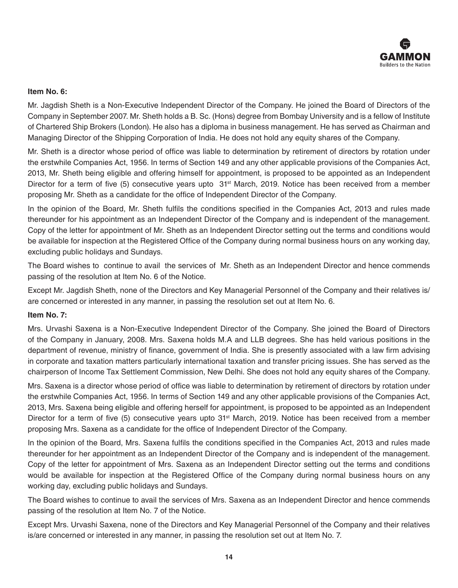

# **Item No. 6:**

Mr. Jagdish Sheth is a Non-Executive Independent Director of the Company. He joined the Board of Directors of the Company in September 2007. Mr. Sheth holds a B. Sc. (Hons) degree from Bombay University and is a fellow of Institute of Chartered Ship Brokers (London). He also has a diploma in business management. He has served as Chairman and Managing Director of the Shipping Corporation of India. He does not hold any equity shares of the Company.

Mr. Sheth is a director whose period of office was liable to determination by retirement of directors by rotation under the erstwhile Companies Act, 1956. In terms of Section 149 and any other applicable provisions of the Companies Act, 2013, Mr. Sheth being eligible and offering himself for appointment, is proposed to be appointed as an Independent Director for a term of five (5) consecutive years upto 31<sup>st</sup> March, 2019. Notice has been received from a member proposing Mr. Sheth as a candidate for the office of Independent Director of the Company.

In the opinion of the Board, Mr. Sheth fulfils the conditions specified in the Companies Act, 2013 and rules made thereunder for his appointment as an Independent Director of the Company and is independent of the management. Copy of the letter for appointment of Mr. Sheth as an Independent Director setting out the terms and conditions would be available for inspection at the Registered Office of the Company during normal business hours on any working day, excluding public holidays and Sundays.

The Board wishes to continue to avail the services of Mr. Sheth as an Independent Director and hence commends passing of the resolution at Item No. 6 of the Notice.

Except Mr. Jagdish Sheth, none of the Directors and Key Managerial Personnel of the Company and their relatives is/ are concerned or interested in any manner, in passing the resolution set out at Item No. 6.

# **Item No. 7:**

Mrs. Urvashi Saxena is a Non-Executive Independent Director of the Company. She joined the Board of Directors of the Company in January, 2008. Mrs. Saxena holds M.A and LLB degrees. She has held various positions in the department of revenue, ministry of finance, government of India. She is presently associated with a law firm advising in corporate and taxation matters particularly international taxation and transfer pricing issues. She has served as the chairperson of Income Tax Settlement Commission, New Delhi. She does not hold any equity shares of the Company.

Mrs. Saxena is a director whose period of office was liable to determination by retirement of directors by rotation under the erstwhile Companies Act, 1956. In terms of Section 149 and any other applicable provisions of the Companies Act, 2013, Mrs. Saxena being eligible and offering herself for appointment, is proposed to be appointed as an Independent Director for a term of five (5) consecutive years upto 31<sup>st</sup> March, 2019. Notice has been received from a member proposing Mrs. Saxena as a candidate for the office of Independent Director of the Company.

In the opinion of the Board, Mrs. Saxena fulfils the conditions specified in the Companies Act, 2013 and rules made thereunder for her appointment as an Independent Director of the Company and is independent of the management. Copy of the letter for appointment of Mrs. Saxena as an Independent Director setting out the terms and conditions would be available for inspection at the Registered Office of the Company during normal business hours on any working day, excluding public holidays and Sundays.

The Board wishes to continue to avail the services of Mrs. Saxena as an Independent Director and hence commends passing of the resolution at Item No. 7 of the Notice.

Except Mrs. Urvashi Saxena, none of the Directors and Key Managerial Personnel of the Company and their relatives is/are concerned or interested in any manner, in passing the resolution set out at Item No. 7.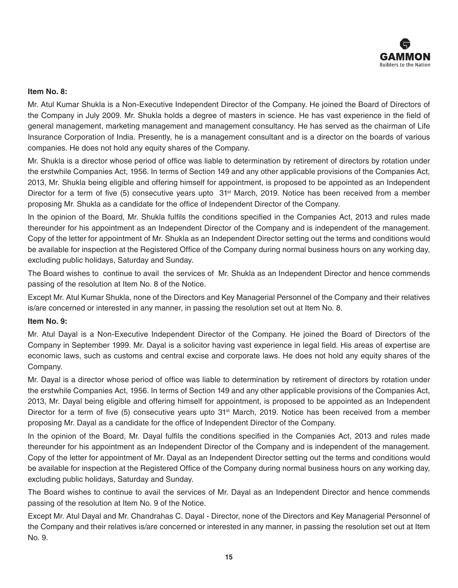

# **Item No. 8:**

Mr. Atul Kumar Shukla is a Non-Executive Independent Director of the Company. He joined the Board of Directors of the Company in July 2009. Mr. Shukla holds a degree of masters in science. He has vast experience in the field of general management, marketing management and management consultancy. He has served as the chairman of Life Insurance Corporation of India. Presently, he is a management consultant and is a director on the boards of various companies. He does not hold any equity shares of the Company.

Mr. Shukla is a director whose period of office was liable to determination by retirement of directors by rotation under the erstwhile Companies Act, 1956. In terms of Section 149 and any other applicable provisions of the Companies Act, 2013, Mr. Shukla being eligible and offering himself for appointment, is proposed to be appointed as an Independent Director for a term of five (5) consecutive years upto 31<sup>st</sup> March, 2019. Notice has been received from a member proposing Mr. Shukla as a candidate for the office of Independent Director of the Company.

In the opinion of the Board, Mr. Shukla fulfils the conditions specified in the Companies Act, 2013 and rules made thereunder for his appointment as an Independent Director of the Company and is independent of the management. Copy of the letter for appointment of Mr. Shukla as an Independent Director setting out the terms and conditions would be available for inspection at the Registered Office of the Company during normal business hours on any working day, excluding public holidays, Saturday and Sunday.

The Board wishes to continue to avail the services of Mr. Shukla as an Independent Director and hence commends passing of the resolution at Item No. 8 of the Notice.

Except Mr. Atul Kumar Shukla, none of the Directors and Key Managerial Personnel of the Company and their relatives is/are concerned or interested in any manner, in passing the resolution set out at Item No. 8.

#### **Item No. 9:**

Mr. Atul Dayal is a Non-Executive Independent Director of the Company. He joined the Board of Directors of the Company in September 1999. Mr. Dayal is a solicitor having vast experience in legal field. His areas of expertise are economic laws, such as customs and central excise and corporate laws. He does not hold any equity shares of the Company.

Mr. Dayal is a director whose period of office was liable to determination by retirement of directors by rotation under the erstwhile Companies Act, 1956. In terms of Section 149 and any other applicable provisions of the Companies Act, 2013, Mr. Dayal being eligible and offering himself for appointment, is proposed to be appointed as an Independent Director for a term of five (5) consecutive years upto 31<sup>st</sup> March, 2019. Notice has been received from a member proposing Mr. Dayal as a candidate for the office of Independent Director of the Company.

In the opinion of the Board, Mr. Dayal fulfils the conditions specified in the Companies Act, 2013 and rules made thereunder for his appointment as an Independent Director of the Company and is independent of the management. Copy of the letter for appointment of Mr. Dayal as an Independent Director setting out the terms and conditions would be available for inspection at the Registered Office of the Company during normal business hours on any working day, excluding public holidays, Saturday and Sunday.

The Board wishes to continue to avail the services of Mr. Dayal as an Independent Director and hence commends passing of the resolution at Item No. 9 of the Notice.

Except Mr. Atul Dayal and Mr. Chandrahas C. Dayal - Director, none of the Directors and Key Managerial Personnel of the Company and their relatives is/are concerned or interested in any manner, in passing the resolution set out at Item No. 9.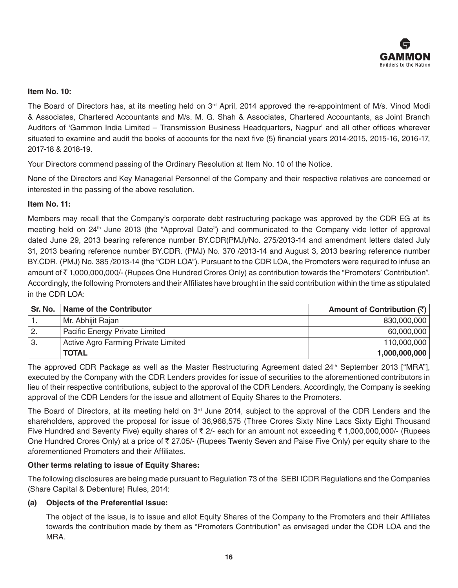

# **Item No. 10:**

The Board of Directors has, at its meeting held on 3<sup>rd</sup> April, 2014 approved the re-appointment of M/s. Vinod Modi & Associates, Chartered Accountants and M/s. M. G. Shah & Associates, Chartered Accountants, as Joint Branch Auditors of 'Gammon India Limited – Transmission Business Headquarters, Nagpur' and all other offices wherever situated to examine and audit the books of accounts for the next five (5) financial years 2014-2015, 2015-16, 2016-17, 2017-18 & 2018-19.

Your Directors commend passing of the Ordinary Resolution at Item No. 10 of the Notice.

None of the Directors and Key Managerial Personnel of the Company and their respective relatives are concerned or interested in the passing of the above resolution.

#### **Item No. 11:**

Members may recall that the Company's corporate debt restructuring package was approved by the CDR EG at its meeting held on 24<sup>th</sup> June 2013 (the "Approval Date") and communicated to the Company vide letter of approval dated June 29, 2013 bearing reference number BY.CDR(PMJ)/No. 275/2013-14 and amendment letters dated July 31, 2013 bearing reference number BY.CDR. (PMJ) No. 370 /2013-14 and August 3, 2013 bearing reference number BY.CDR. (PMJ) No. 385 /2013-14 (the "CDR LOA"). Pursuant to the CDR LOA, the Promoters were required to infuse an amount of ₹1,000,000,000/- (Rupees One Hundred Crores Only) as contribution towards the "Promoters' Contribution". Accordingly, the following Promoters and their Affiliates have brought in the said contribution within the time as stipulated in the CDR LOA:

| Sr. No. | Name of the Contributor             | Amount of Contribution $(\bar{z})$ |
|---------|-------------------------------------|------------------------------------|
|         | Mr. Abhijit Rajan                   | 830,000,000                        |
| 2.      | Pacific Energy Private Limited      | 60,000,000                         |
| 3.      | Active Agro Farming Private Limited | 110,000,000                        |
|         | <b>TOTAL</b>                        | 1,000,000,000                      |

The approved CDR Package as well as the Master Restructuring Agreement dated 24<sup>th</sup> September 2013 ["MRA"], executed by the Company with the CDR Lenders provides for issue of securities to the aforementioned contributors in lieu of their respective contributions, subject to the approval of the CDR Lenders. Accordingly, the Company is seeking approval of the CDR Lenders for the issue and allotment of Equity Shares to the Promoters.

The Board of Directors, at its meeting held on 3<sup>rd</sup> June 2014, subject to the approval of the CDR Lenders and the shareholders, approved the proposal for issue of 36,968,575 (Three Crores Sixty Nine Lacs Sixty Eight Thousand Five Hundred and Seventy Five) equity shares of  $\bar{\tau}$  2/- each for an amount not exceeding  $\bar{\tau}$  1,000,000,000/- (Rupees One Hundred Crores Only) at a price of ₹ 27.05/- (Rupees Twenty Seven and Paise Five Only) per equity share to the aforementioned Promoters and their Affiliates.

# **Other terms relating to issue of Equity Shares:**

The following disclosures are being made pursuant to Regulation 73 of the SEBI ICDR Regulations and the Companies (Share Capital & Debenture) Rules, 2014:

#### **(a) Objects of the Preferential Issue:**

The object of the issue, is to issue and allot Equity Shares of the Company to the Promoters and their Affiliates towards the contribution made by them as "Promoters Contribution" as envisaged under the CDR LOA and the MRA.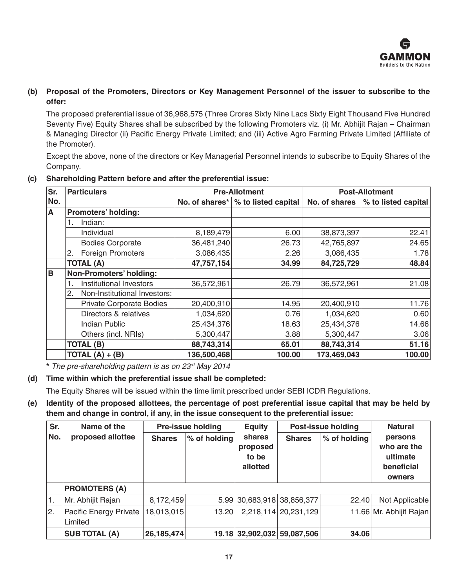

# **(b) Proposal of the Promoters, Directors or Key Management Personnel of the issuer to subscribe to the offer:**

The proposed preferential issue of 36,968,575 (Three Crores Sixty Nine Lacs Sixty Eight Thousand Five Hundred Seventy Five) Equity Shares shall be subscribed by the following Promoters viz. (i) Mr. Abhijit Rajan – Chairman & Managing Director (ii) Pacific Energy Private Limited; and (iii) Active Agro Farming Private Limited (Affiliate of the Promoter).

Except the above, none of the directors or Key Managerial Personnel intends to subscribe to Equity Shares of the Company.

| Sr. | <b>Particulars</b>                 |             | <b>Pre-Allotment</b>                 | <b>Post-Allotment</b> |                     |  |
|-----|------------------------------------|-------------|--------------------------------------|-----------------------|---------------------|--|
| No. |                                    |             | No. of shares*   % to listed capital | No. of shares         | % to listed capital |  |
| A   | Promoters' holding:                |             |                                      |                       |                     |  |
|     | Indian:                            |             |                                      |                       |                     |  |
|     | Individual                         | 8,189,479   | 6.00                                 | 38,873,397            | 22.41               |  |
|     | <b>Bodies Corporate</b>            | 36,481,240  | 26.73                                | 42,765,897            | 24.65               |  |
|     | <b>Foreign Promoters</b><br>2.     | 3,086,435   | 2.26                                 | 3,086,435             | 1.78                |  |
|     | <b>TOTAL (A)</b>                   | 47,757,154  | 34.99                                | 84,725,729            | 48.84               |  |
| B   | Non-Promoters' holding:            |             |                                      |                       |                     |  |
|     | Institutional Investors            | 36,572,961  | 26.79                                | 36,572,961            | 21.08               |  |
|     | Non-Institutional Investors:<br>2. |             |                                      |                       |                     |  |
|     | <b>Private Corporate Bodies</b>    | 20,400,910  | 14.95                                | 20,400,910            | 11.76               |  |
|     | Directors & relatives              | 1,034,620   | 0.76                                 | 1,034,620             | 0.60                |  |
|     | <b>Indian Public</b>               | 25,434,376  | 18.63                                | 25,434,376            | 14.66               |  |
|     | Others (incl. NRIs)                | 5,300,447   | 3.88                                 | 5,300,447             | 3.06                |  |
|     | <b>TOTAL (B)</b>                   | 88,743,314  | 65.01                                | 88,743,314            | 51.16               |  |
|     | TOTAL $(A) + (B)$                  | 136,500,468 | 100.00                               | 173,469,043           | 100.00              |  |

# **(c) Shareholding Pattern before and after the preferential issue:**

**\*** *The pre-shareholding pattern is as on 23rd May 2014* 

# **(d) Time within which the preferential issue shall be completed:**

The Equity Shares will be issued within the time limit prescribed under SEBI ICDR Regulations.

# **(e) Identity of the proposed allottees, the percentage of post preferential issue capital that may be held by them and change in control, if any, in the issue consequent to the preferential issue:**

| Sr. | Name of the                       | <b>Pre-issue holding</b> |              | <b>Equity</b>                           |                             | <b>Post-issue holding</b> | <b>Natural</b>                                             |
|-----|-----------------------------------|--------------------------|--------------|-----------------------------------------|-----------------------------|---------------------------|------------------------------------------------------------|
| No. | proposed allottee                 | <b>Shares</b>            | % of holding | shares<br>proposed<br>to be<br>allotted | <b>Shares</b>               | % of holding              | persons<br>who are the<br>ultimate<br>beneficial<br>owners |
|     | <b>PROMOTERS (A)</b>              |                          |              |                                         |                             |                           |                                                            |
|     | Mr. Abhijit Rajan                 | 8,172,459                |              |                                         | 5.99 30,683,918 38,856,377  | 22.40                     | Not Applicable                                             |
| 12. | Pacific Energy Private<br>Limited | 18,013,015               | 13.20        |                                         | 2,218,114 20,231,129        |                           | 11.66 Mr. Abhijit Rajan                                    |
|     | <b>SUB TOTAL (A)</b>              | 26,185,474               |              |                                         | 19.18 32,902,032 59,087,506 | 34.06                     |                                                            |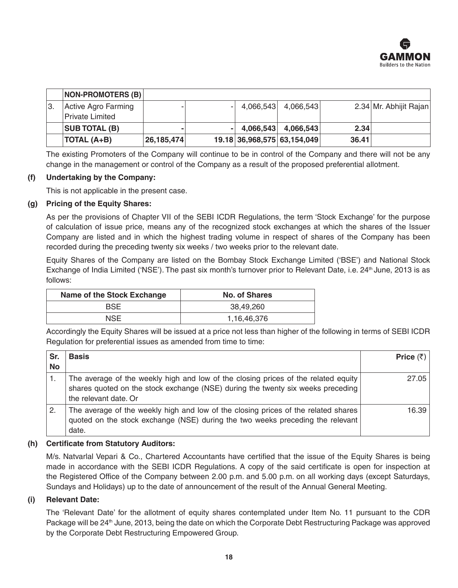

|    | <b>NON-PROMOTERS (B)</b> |              |                             |           |       |                        |
|----|--------------------------|--------------|-----------------------------|-----------|-------|------------------------|
| 3. | Active Agro Farming      | -            | 4,066,543                   | 4.066.543 |       | 2.34 Mr. Abhijit Rajan |
|    | Private Limited          |              |                             |           |       |                        |
|    | <b>SUB TOTAL (B)</b>     | ۰            | 4.066.543                   | 4.066.543 | 2.34  |                        |
|    | <b>TOTAL (A+B)</b>       | 26, 185, 474 | 19.18 36,968,575 63,154,049 |           | 36.41 |                        |

The existing Promoters of the Company will continue to be in control of the Company and there will not be any change in the management or control of the Company as a result of the proposed preferential allotment.

#### **(f) Undertaking by the Company:**

This is not applicable in the present case.

#### **(g) Pricing of the Equity Shares:**

As per the provisions of Chapter VII of the SEBI ICDR Regulations, the term 'Stock Exchange' for the purpose of calculation of issue price, means any of the recognized stock exchanges at which the shares of the Issuer Company are listed and in which the highest trading volume in respect of shares of the Company has been recorded during the preceding twenty six weeks / two weeks prior to the relevant date.

Equity Shares of the Company are listed on the Bombay Stock Exchange Limited ('BSE') and National Stock Exchange of India Limited ('NSE'). The past six month's turnover prior to Relevant Date, i.e. 24<sup>th</sup> June, 2013 is as follows:

| Name of the Stock Exchange | No. of Shares |  |  |
|----------------------------|---------------|--|--|
| <b>BSE</b>                 | 38.49.260     |  |  |
| NSE                        | 1,16,46,376   |  |  |

Accordingly the Equity Shares will be issued at a price not less than higher of the following in terms of SEBI ICDR Regulation for preferential issues as amended from time to time:

| Sr.<br><b>No</b> | <b>Basis</b>                                                                                                                                                                                   | Price $(\bar{z})$ |
|------------------|------------------------------------------------------------------------------------------------------------------------------------------------------------------------------------------------|-------------------|
|                  | The average of the weekly high and low of the closing prices of the related equity<br>shares quoted on the stock exchange (NSE) during the twenty six weeks preceding<br>the relevant date. Or | 27.05             |
| 2.               | The average of the weekly high and low of the closing prices of the related shares<br>quoted on the stock exchange (NSE) during the two weeks preceding the relevant<br>date.                  | 16.39             |

#### **(h) Certificate from Statutory Auditors:**

M/s. Natvarlal Vepari & Co., Chartered Accountants have certified that the issue of the Equity Shares is being made in accordance with the SEBI ICDR Regulations. A copy of the said certificate is open for inspection at the Registered Office of the Company between 2.00 p.m. and 5.00 p.m. on all working days (except Saturdays, Sundays and Holidays) up to the date of announcement of the result of the Annual General Meeting.

#### **(i) Relevant Date:**

The 'Relevant Date' for the allotment of equity shares contemplated under Item No. 11 pursuant to the CDR Package will be 24<sup>th</sup> June, 2013, being the date on which the Corporate Debt Restructuring Package was approved by the Corporate Debt Restructuring Empowered Group.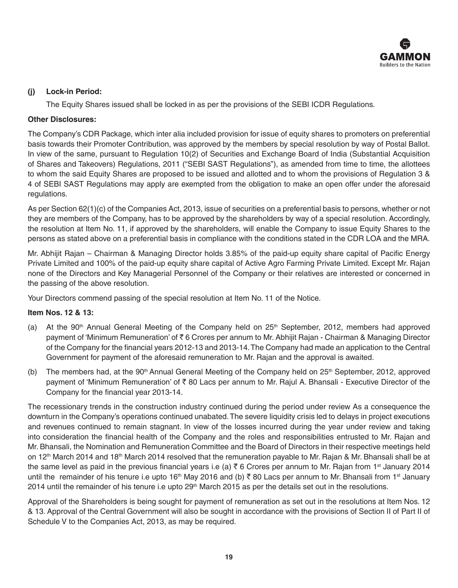

# **(j) Lock-in Period:**

The Equity Shares issued shall be locked in as per the provisions of the SEBI ICDR Regulations.

# **Other Disclosures:**

The Company's CDR Package, which inter alia included provision for issue of equity shares to promoters on preferential basis towards their Promoter Contribution, was approved by the members by special resolution by way of Postal Ballot. In view of the same, pursuant to Regulation 10(2) of Securities and Exchange Board of India (Substantial Acquisition of Shares and Takeovers) Regulations, 2011 ("SEBI SAST Regulations"), as amended from time to time, the allottees to whom the said Equity Shares are proposed to be issued and allotted and to whom the provisions of Regulation 3 & 4 of SEBI SAST Regulations may apply are exempted from the obligation to make an open offer under the aforesaid regulations.

As per Section 62(1)(c) of the Companies Act, 2013, issue of securities on a preferential basis to persons, whether or not they are members of the Company, has to be approved by the shareholders by way of a special resolution. Accordingly, the resolution at Item No. 11, if approved by the shareholders, will enable the Company to issue Equity Shares to the persons as stated above on a preferential basis in compliance with the conditions stated in the CDR LOA and the MRA.

Mr. Abhijit Rajan – Chairman & Managing Director holds 3.85% of the paid-up equity share capital of Pacific Energy Private Limited and 100% of the paid-up equity share capital of Active Agro Farming Private Limited. Except Mr. Rajan none of the Directors and Key Managerial Personnel of the Company or their relatives are interested or concerned in the passing of the above resolution.

Your Directors commend passing of the special resolution at Item No. 11 of the Notice.

# **Item Nos. 12 & 13:**

- (a) At the 90<sup>th</sup> Annual General Meeting of the Company held on  $25<sup>th</sup>$  September, 2012, members had approved payment of 'Minimum Remuneration' of ₹6 Crores per annum to Mr. Abhijit Rajan - Chairman & Managing Director of the Company for the financial years 2012-13 and 2013-14. The Company had made an application to the Central Government for payment of the aforesaid remuneration to Mr. Rajan and the approval is awaited.
- (b) The members had, at the  $90<sup>th</sup>$  Annual General Meeting of the Company held on  $25<sup>th</sup>$  September, 2012, approved payment of 'Minimum Remuneration' of ₹ 80 Lacs per annum to Mr. Rajul A. Bhansali - Executive Director of the Company for the financial year 2013-14.

The recessionary trends in the construction industry continued during the period under review As a consequence the downturn in the Company's operations continued unabated. The severe liquidity crisis led to delays in project executions and revenues continued to remain stagnant. In view of the losses incurred during the year under review and taking into consideration the financial health of the Company and the roles and responsibilities entrusted to Mr. Rajan and Mr. Bhansali, the Nomination and Remuneration Committee and the Board of Directors in their respective meetings held on 12<sup>th</sup> March 2014 and 18<sup>th</sup> March 2014 resolved that the remuneration payable to Mr. Rajan & Mr. Bhansali shall be at the same level as paid in the previous financial years i.e (a)  $\bar{\tau}$  6 Crores per annum to Mr. Rajan from 1<sup>st</sup> January 2014 until the remainder of his tenure i.e upto 16<sup>th</sup> May 2016 and (b) ₹80 Lacs per annum to Mr. Bhansali from 1<sup>st</sup> January 2014 until the remainder of his tenure i.e upto 29<sup>th</sup> March 2015 as per the details set out in the resolutions.

Approval of the Shareholders is being sought for payment of remuneration as set out in the resolutions at Item Nos. 12 & 13. Approval of the Central Government will also be sought in accordance with the provisions of Section II of Part II of Schedule V to the Companies Act, 2013, as may be required.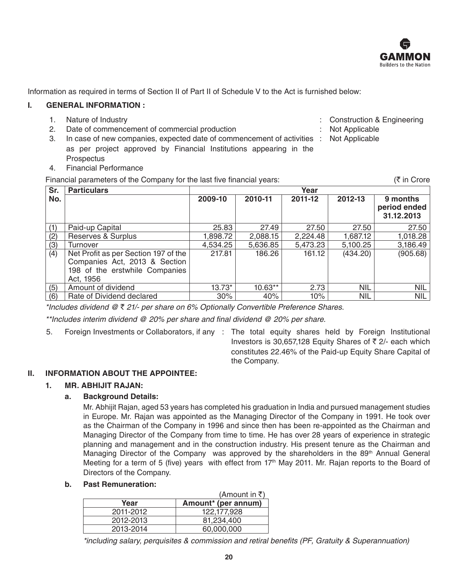

Information as required in terms of Section II of Part II of Schedule V to the Act is furnished below:

#### **I. GENERAL INFORMATION :**

- 
- 2. Date of commencement of commercial production : Not Applicable : Not Applicable
- 3. In case of new companies, expected date of commencement of activities : Not Applicable as per project approved by Financial Institutions appearing in the **Prospectus**
- 4. Financial Performance

Financial parameters of the Company for the last five financial years:  $\mathcal{F}$  in Crore

| Sr. | <b>Particulars</b>                                                                                                   | Year     |           |          |            |                                        |
|-----|----------------------------------------------------------------------------------------------------------------------|----------|-----------|----------|------------|----------------------------------------|
| No. |                                                                                                                      | 2009-10  | 2010-11   | 2011-12  | 2012-13    | 9 months<br>period ended<br>31.12.2013 |
| (1) | Paid-up Capital                                                                                                      | 25.83    | 27.49     | 27.50    | 27.50      | 27.50                                  |
| (2) | Reserves & Surplus                                                                                                   | 1,898.72 | 2,088.15  | 2,224.48 | 1,687.12   | 1,018.28                               |
| (3) | Turnover                                                                                                             | 4,534.25 | 5,636.85  | 5,473.23 | 5,100.25   | 3,186.49                               |
| (4) | Net Profit as per Section 197 of the<br>Companies Act, 2013 & Section<br>198 of the erstwhile Companies<br>Act, 1956 | 217.81   | 186.26    | 161.12   | (434.20)   | (905.68)                               |
| (5) | Amount of dividend                                                                                                   | $13.73*$ | $10.63**$ | 2.73     | <b>NIL</b> | NIL                                    |
| (6) | Rate of Dividend declared                                                                                            | 30%      | 40%       | 10%      | <b>NIL</b> | NIL                                    |

*\*Includes dividend @* ` *21/- per share on 6% Optionally Convertible Preference Shares.*

 \*\*Includes interim dividend @ 20% per share and final dividend @ 20% per share.

5. Foreign Investments or Collaborators, if any : The total equity shares held by Foreign Institutional Investors is 30,657,128 Equity Shares of  $\bar{\tau}$  2/- each which constitutes 22.46% of the Paid-up Equity Share Capital of the Company.

# **II. INFORMATION ABOUT THE APPOINTEE:**

# **1. MR. ABHIJIT RAJAN:**

# **a. Background Details:**

Mr. Abhijit Rajan, aged 53 years has completed his graduation in India and pursued management studies in Europe. Mr. Rajan was appointed as the Managing Director of the Company in 1991. He took over as the Chairman of the Company in 1996 and since then has been re-appointed as the Chairman and Managing Director of the Company from time to time. He has over 28 years of experience in strategic planning and management and in the construction industry. His present tenure as the Chairman and Managing Director of the Company was approved by the shareholders in the 89<sup>th</sup> Annual General Meeting for a term of 5 (five) years with effect from 17th May 2011. Mr. Rajan reports to the Board of Directors of the Company.

#### **b. Past Remuneration:**

|           | $(Am$ ount in ₹)    |
|-----------|---------------------|
| Year      | Amount* (per annum) |
| 2011-2012 | 122.177.928         |
| 2012-2013 | 81,234,400          |
| 2013-2014 | 60,000,000          |

\*including salary, perquisites & commission and retiral benefits (PF, Gratuity & Superannuation)

- 1. Nature of Industry **State Construction Construction & Engineering**  $\cdot$  Construction & Engineering
	-
	-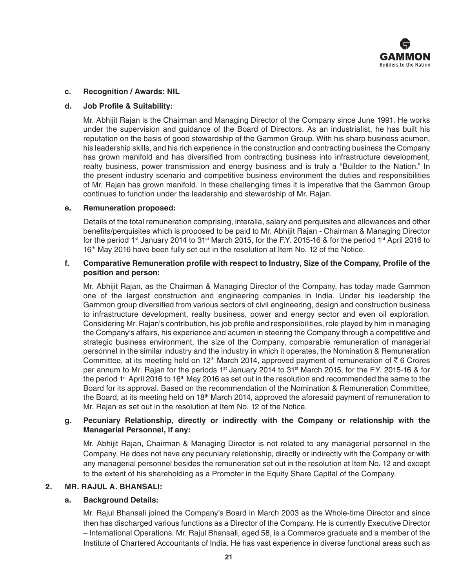

#### **c. Recognition / Awards: NIL**

#### **d. Job Profile & Suitability:**

Mr. Abhijit Rajan is the Chairman and Managing Director of the Company since June 1991. He works under the supervision and guidance of the Board of Directors. As an industrialist, he has built his reputation on the basis of good stewardship of the Gammon Group. With his sharp business acumen, his leadership skills, and his rich experience in the construction and contracting business the Company has grown manifold and has diversified from contracting business into infrastructure development, realty business, power transmission and energy business and is truly a "Builder to the Nation." In the present industry scenario and competitive business environment the duties and responsibilities of Mr. Rajan has grown manifold. In these challenging times it is imperative that the Gammon Group continues to function under the leadership and stewardship of Mr. Rajan.

#### **e. Remuneration proposed:**

 Details of the total remuneration comprising, interalia, salary and perquisites and allowances and other benefits/perquisites which is proposed to be paid to Mr. Abhijit Rajan - Chairman & Managing Director for the period 1st January 2014 to 31st March 2015, for the F.Y. 2015-16 & for the period 1st April 2016 to 16<sup>th</sup> May 2016 have been fully set out in the resolution at Item No. 12 of the Notice.

#### **f. Comparative Remuneration profile with respect to Industry, Size of the Company, Profile of the position and person:**

Mr. Abhijit Rajan, as the Chairman & Managing Director of the Company, has today made Gammon one of the largest construction and engineering companies in India. Under his leadership the Gammon group diversified from various sectors of civil engineering, design and construction business to infrastructure development, realty business, power and energy sector and even oil exploration. Considering Mr. Rajan's contribution, his job profile and responsibilities, role played by him in managing the Company's affairs, his experience and acumen in steering the Company through a competitive and strategic business environment, the size of the Company, comparable remuneration of managerial personnel in the similar industry and the industry in which it operates, the Nomination & Remuneration Committee, at its meeting held on 12<sup>th</sup> March 2014, approved payment of remuneration of  $\bar{\tau}$  6 Crores per annum to Mr. Rajan for the periods 1<sup>st</sup> January 2014 to 31<sup>st</sup> March 2015, for the F.Y. 2015-16 & for the period 1<sup>st</sup> April 2016 to 16<sup>th</sup> May 2016 as set out in the resolution and recommended the same to the Board for its approval. Based on the recommendation of the Nomination & Remuneration Committee, the Board, at its meeting held on 18<sup>th</sup> March 2014, approved the aforesaid payment of remuneration to Mr. Rajan as set out in the resolution at Item No. 12 of the Notice.

# **g. Pecuniary Relationship, directly or indirectly with the Company or relationship with the Managerial Personnel, if any:**

Mr. Abhijit Rajan, Chairman & Managing Director is not related to any managerial personnel in the Company. He does not have any pecuniary relationship, directly or indirectly with the Company or with any managerial personnel besides the remuneration set out in the resolution at Item No. 12 and except to the extent of his shareholding as a Promoter in the Equity Share Capital of the Company.

#### **2. MR. RAJUL A. BHANSALI:**

#### **a. Background Details:**

Mr. Rajul Bhansali joined the Company's Board in March 2003 as the Whole-time Director and since then has discharged various functions as a Director of the Company. He is currently Executive Director – International Operations. Mr. Rajul Bhansali, aged 58, is a Commerce graduate and a member of the Institute of Chartered Accountants of India. He has vast experience in diverse functional areas such as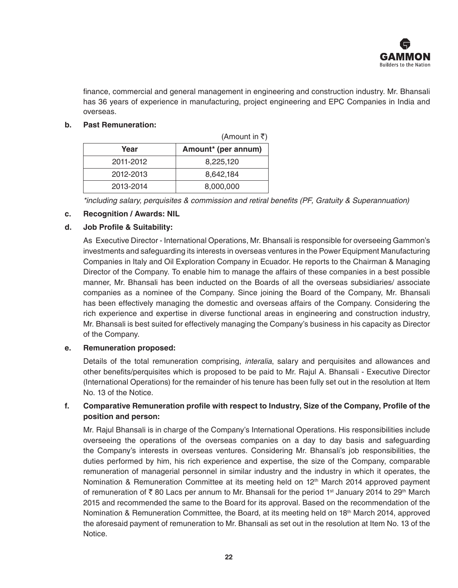

finance, commercial and general management in engineering and construction industry. Mr. Bhansali has 36 years of experience in manufacturing, project engineering and EPC Companies in India and overseas.

# **b. Past Remuneration:**

|           | (Amount in ₹)       |
|-----------|---------------------|
| Year      | Amount* (per annum) |
| 2011-2012 | 8,225,120           |
| 2012-2013 | 8,642,184           |
| 2013-2014 | 8,000,000           |

\*including salary, perquisites & commission and retiral benefits (PF, Gratuity & Superannuation)

# **c. Recognition / Awards: NIL**

#### **d. Job Profile & Suitability:**

As Executive Director - International Operations, Mr. Bhansali is responsible for overseeing Gammon's investments and safeguarding its interests in overseas ventures in the Power Equipment Manufacturing Companies in Italy and Oil Exploration Company in Ecuador. He reports to the Chairman & Managing Director of the Company. To enable him to manage the affairs of these companies in a best possible manner, Mr. Bhansali has been inducted on the Boards of all the overseas subsidiaries/ associate companies as a nominee of the Company. Since joining the Board of the Company, Mr. Bhansali has been effectively managing the domestic and overseas affairs of the Company. Considering the rich experience and expertise in diverse functional areas in engineering and construction industry, Mr.  Bhansali is best suited for effectively managing the Company's business in his capacity as Director of the Company.

#### **e. Remuneration proposed:**

 Details of the total remuneration comprising, *interalia*, salary and perquisites and allowances and other benefits/perquisites which is proposed to be paid to Mr. Rajul A. Bhansali - Executive Director (International Operations) for the remainder of his tenure has been fully set out in the resolution at Item No. 13 of the Notice.

# **f. Comparative Remuneration profile with respect to Industry, Size of the Company, Profile of the position and person:**

Mr. Rajul Bhansali is in charge of the Company's International Operations. His responsibilities include overseeing the operations of the overseas companies on a day to day basis and safeguarding the Company's interests in overseas ventures. Considering Mr. Bhansali's job responsibilities, the duties performed by him, his rich experience and expertise, the size of the Company, comparable remuneration of managerial personnel in similar industry and the industry in which it operates, the Nomination & Remuneration Committee at its meeting held on 12<sup>th</sup> March 2014 approved payment of remuneration of  $\bar{\tau}$  80 Lacs per annum to Mr. Bhansali for the period 1<sup>st</sup> January 2014 to 29<sup>th</sup> March 2015 and recommended the same to the Board for its approval. Based on the recommendation of the Nomination & Remuneration Committee, the Board, at its meeting held on 18<sup>th</sup> March 2014, approved the aforesaid payment of remuneration to Mr. Bhansali as set out in the resolution at Item No. 13 of the Notice.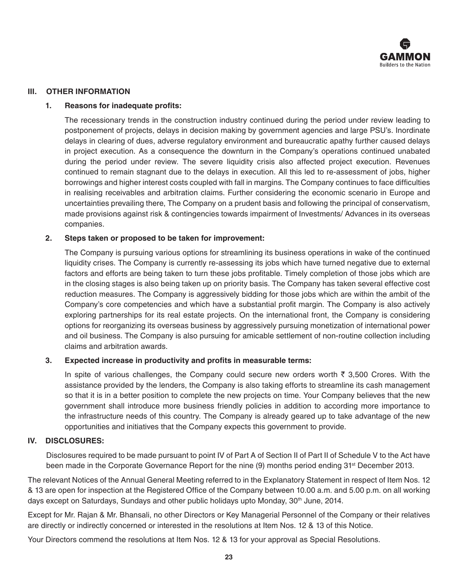

# **III. OTHER INFORMATION**

#### **1. Reasons for inadequate profits:**

 The recessionary trends in the construction industry continued during the period under review leading to postponement of projects, delays in decision making by government agencies and large PSU's. Inordinate delays in clearing of dues, adverse regulatory environment and bureaucratic apathy further caused delays in project execution. As a consequence the downturn in the Company's operations continued unabated during the period under review. The severe liquidity crisis also affected project execution. Revenues continued to remain stagnant due to the delays in execution. All this led to re-assessment of jobs, higher borrowings and higher interest costs coupled with fall in margins. The Company continues to face difficulties in realising receivables and arbitration claims. Further considering the economic scenario in Europe and uncertainties prevailing there, The Company on a prudent basis and following the principal of conservatism, made provisions against risk & contingencies towards impairment of Investments/ Advances in its overseas companies.

#### **2. Steps taken or proposed to be taken for improvement:**

The Company is pursuing various options for streamlining its business operations in wake of the continued liquidity crises. The Company is currently re-assessing its jobs which have turned negative due to external factors and efforts are being taken to turn these jobs profitable. Timely completion of those jobs which are in the closing stages is also being taken up on priority basis. The Company has taken several effective cost reduction measures. The Company is aggressively bidding for those jobs which are within the ambit of the Company's core competencies and which have a substantial profit margin. The Company is also actively exploring partnerships for its real estate projects. On the international front, the Company is considering options for reorganizing its overseas business by aggressively pursuing monetization of international power and oil business. The Company is also pursuing for amicable settlement of non-routine collection including claims and arbitration awards.

# **3. Expected increase in productivity and profits in measurable terms:**

In spite of various challenges, the Company could secure new orders worth  $\bar{\tau}$  3,500 Crores. With the assistance provided by the lenders, the Company is also taking efforts to streamline its cash management so that it is in a better position to complete the new projects on time. Your Company believes that the new government shall introduce more business friendly policies in addition to according more importance to the infrastructure needs of this country. The Company is already geared up to take advantage of the new opportunities and initiatives that the Company expects this government to provide.

#### **IV. DISCLOSURES:**

 Disclosures required to be made pursuant to point IV of Part A of Section II of Part II of Schedule V to the Act have been made in the Corporate Governance Report for the nine (9) months period ending 31<sup>st</sup> December 2013.

The relevant Notices of the Annual General Meeting referred to in the Explanatory Statement in respect of Item Nos. 12 & 13 are open for inspection at the Registered Office of the Company between 10.00 a.m. and 5.00 p.m. on all working days except on Saturdays, Sundays and other public holidays upto Monday, 30<sup>th</sup> June, 2014.

Except for Mr. Rajan & Mr. Bhansali, no other Directors or Key Managerial Personnel of the Company or their relatives are directly or indirectly concerned or interested in the resolutions at Item Nos. 12 & 13 of this Notice.

Your Directors commend the resolutions at Item Nos. 12 & 13 for your approval as Special Resolutions.